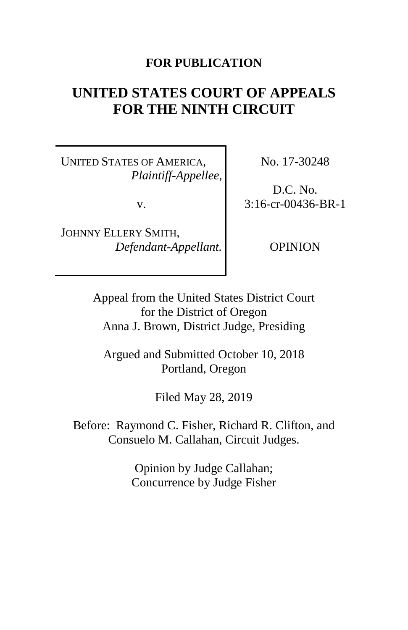# **FOR PUBLICATION**

# **UNITED STATES COURT OF APPEALS FOR THE NINTH CIRCUIT**

UNITED STATES OF AMERICA, *Plaintiff-Appellee*,

v.

JOHNNY ELLERY SMITH, *Defendant-Appellant.* No. 17-30248

D.C. No. 3:16-cr-00436-BR-1

OPINION

Appeal from the United States District Court for the District of Oregon Anna J. Brown, District Judge, Presiding

Argued and Submitted October 10, 2018 Portland, Oregon

Filed May 28, 2019

Before: Raymond C. Fisher, Richard R. Clifton, and Consuelo M. Callahan, Circuit Judges.

> Opinion by Judge Callahan; Concurrence by Judge Fisher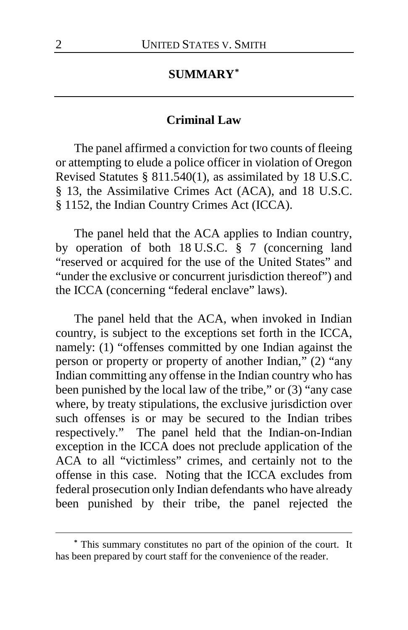# **SUMMARY[\\*](#page-1-0)**

#### **Criminal Law**

The panel affirmed a conviction for two counts of fleeing or attempting to elude a police officer in violation of Oregon Revised Statutes § 811.540(1), as assimilated by 18 U.S.C. § 13, the Assimilative Crimes Act (ACA), and 18 U.S.C. § 1152, the Indian Country Crimes Act (ICCA).

The panel held that the ACA applies to Indian country, by operation of both 18 U.S.C. § 7 (concerning land "reserved or acquired for the use of the United States" and "under the exclusive or concurrent jurisdiction thereof") and the ICCA (concerning "federal enclave" laws).

The panel held that the ACA, when invoked in Indian country, is subject to the exceptions set forth in the ICCA, namely: (1) "offenses committed by one Indian against the person or property or property of another Indian," (2) "any Indian committing any offense in the Indian country who has been punished by the local law of the tribe," or (3) "any case where, by treaty stipulations, the exclusive jurisdiction over such offenses is or may be secured to the Indian tribes respectively." The panel held that the Indian-on-Indian exception in the ICCA does not preclude application of the ACA to all "victimless" crimes, and certainly not to the offense in this case. Noting that the ICCA excludes from federal prosecution only Indian defendants who have already been punished by their tribe, the panel rejected the

 $\overline{a}$ 

<span id="page-1-0"></span>**<sup>\*</sup>** This summary constitutes no part of the opinion of the court. It has been prepared by court staff for the convenience of the reader.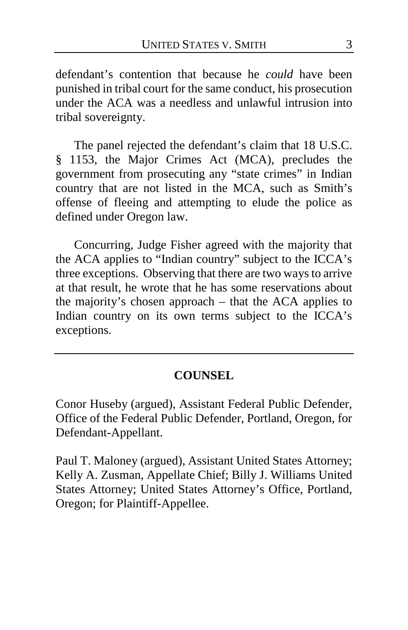defendant's contention that because he *could* have been punished in tribal court for the same conduct, his prosecution under the ACA was a needless and unlawful intrusion into tribal sovereignty.

The panel rejected the defendant's claim that 18 U.S.C. § 1153, the Major Crimes Act (MCA), precludes the government from prosecuting any "state crimes" in Indian country that are not listed in the MCA, such as Smith's offense of fleeing and attempting to elude the police as defined under Oregon law.

Concurring, Judge Fisher agreed with the majority that the ACA applies to "Indian country" subject to the ICCA's three exceptions. Observing that there are two ways to arrive at that result, he wrote that he has some reservations about the majority's chosen approach – that the ACA applies to Indian country on its own terms subject to the ICCA's exceptions.

# **COUNSEL**

Conor Huseby (argued), Assistant Federal Public Defender, Office of the Federal Public Defender, Portland, Oregon, for Defendant-Appellant.

Paul T. Maloney (argued), Assistant United States Attorney; Kelly A. Zusman, Appellate Chief; Billy J. Williams United States Attorney; United States Attorney's Office, Portland, Oregon; for Plaintiff-Appellee.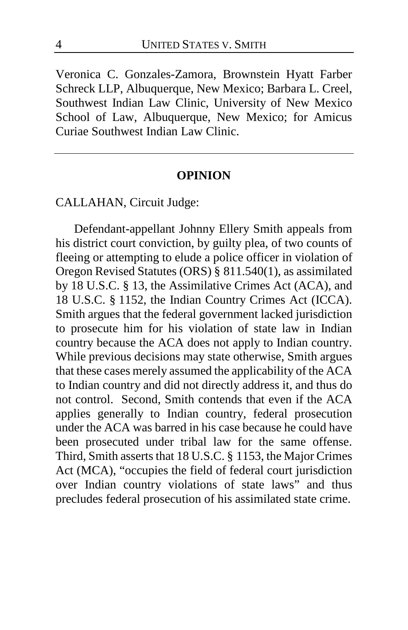Veronica C. Gonzales-Zamora, Brownstein Hyatt Farber Schreck LLP, Albuquerque, New Mexico; Barbara L. Creel, Southwest Indian Law Clinic, University of New Mexico School of Law, Albuquerque, New Mexico; for Amicus Curiae Southwest Indian Law Clinic.

#### **OPINION**

CALLAHAN, Circuit Judge:

Defendant-appellant Johnny Ellery Smith appeals from his district court conviction, by guilty plea, of two counts of fleeing or attempting to elude a police officer in violation of Oregon Revised Statutes (ORS) § 811.540(1), as assimilated by 18 U.S.C. § 13, the Assimilative Crimes Act (ACA), and 18 U.S.C. § 1152, the Indian Country Crimes Act (ICCA). Smith argues that the federal government lacked jurisdiction to prosecute him for his violation of state law in Indian country because the ACA does not apply to Indian country. While previous decisions may state otherwise, Smith argues that these cases merely assumed the applicability of the ACA to Indian country and did not directly address it, and thus do not control. Second, Smith contends that even if the ACA applies generally to Indian country, federal prosecution under the ACA was barred in his case because he could have been prosecuted under tribal law for the same offense. Third, Smith asserts that 18 U.S.C. § 1153, the Major Crimes Act (MCA), "occupies the field of federal court jurisdiction over Indian country violations of state laws" and thus precludes federal prosecution of his assimilated state crime.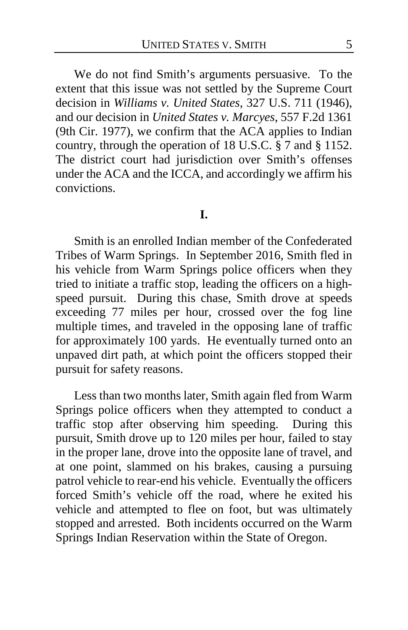We do not find Smith's arguments persuasive. To the extent that this issue was not settled by the Supreme Court decision in *Williams v. United States*, 327 U.S. 711 (1946), and our decision in *United States v. Marcyes*, 557 F.2d 1361 (9th Cir. 1977), we confirm that the ACA applies to Indian country, through the operation of 18 U.S.C. § 7 and § 1152. The district court had jurisdiction over Smith's offenses under the ACA and the ICCA, and accordingly we affirm his convictions.

#### **I.**

Smith is an enrolled Indian member of the Confederated Tribes of Warm Springs. In September 2016, Smith fled in his vehicle from Warm Springs police officers when they tried to initiate a traffic stop, leading the officers on a highspeed pursuit. During this chase, Smith drove at speeds exceeding 77 miles per hour, crossed over the fog line multiple times, and traveled in the opposing lane of traffic for approximately 100 yards. He eventually turned onto an unpaved dirt path, at which point the officers stopped their pursuit for safety reasons.

Less than two months later, Smith again fled from Warm Springs police officers when they attempted to conduct a traffic stop after observing him speeding. During this pursuit, Smith drove up to 120 miles per hour, failed to stay in the proper lane, drove into the opposite lane of travel, and at one point, slammed on his brakes, causing a pursuing patrol vehicle to rear-end his vehicle. Eventually the officers forced Smith's vehicle off the road, where he exited his vehicle and attempted to flee on foot, but was ultimately stopped and arrested. Both incidents occurred on the Warm Springs Indian Reservation within the State of Oregon.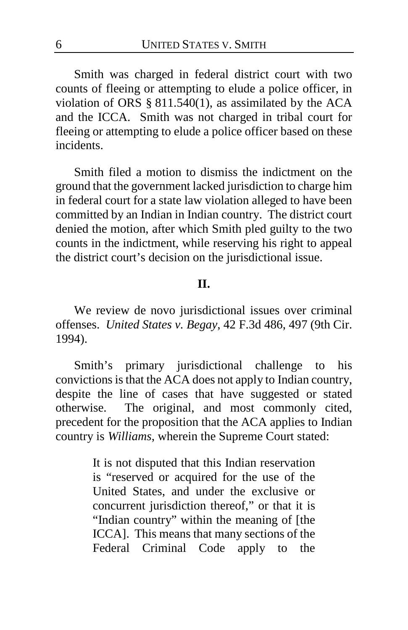Smith was charged in federal district court with two counts of fleeing or attempting to elude a police officer, in violation of ORS § 811.540(1), as assimilated by the ACA and the ICCA. Smith was not charged in tribal court for fleeing or attempting to elude a police officer based on these incidents.

Smith filed a motion to dismiss the indictment on the ground that the government lacked jurisdiction to charge him in federal court for a state law violation alleged to have been committed by an Indian in Indian country. The district court denied the motion, after which Smith pled guilty to the two counts in the indictment, while reserving his right to appeal the district court's decision on the jurisdictional issue.

## **II.**

We review de novo jurisdictional issues over criminal offenses. *United States v. Begay*, 42 F.3d 486, 497 (9th Cir. 1994).

Smith's primary jurisdictional challenge to his convictions is that the ACA does not apply to Indian country, despite the line of cases that have suggested or stated otherwise. The original, and most commonly cited, precedent for the proposition that the ACA applies to Indian country is *Williams*, wherein the Supreme Court stated:

> It is not disputed that this Indian reservation is "reserved or acquired for the use of the United States, and under the exclusive or concurrent jurisdiction thereof," or that it is "Indian country" within the meaning of [the ICCA]. This means that many sections of the Federal Criminal Code apply to the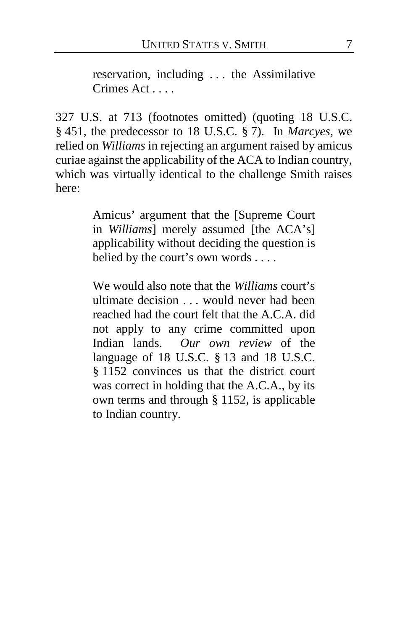reservation, including . . . the Assimilative Crimes Act . . . .

327 U.S. at 713 (footnotes omitted) (quoting 18 U.S.C. § 451, the predecessor to 18 U.S.C. § 7). In *Marcyes*, we relied on *Williams* in rejecting an argument raised by amicus curiae against the applicability of the ACA to Indian country, which was virtually identical to the challenge Smith raises here:

> Amicus' argument that the [Supreme Court in *Williams*] merely assumed [the ACA's] applicability without deciding the question is belied by the court's own words . . . .

> We would also note that the *Williams* court's ultimate decision . . . would never had been reached had the court felt that the A.C.A. did not apply to any crime committed upon Indian lands. *Our own review* of the language of 18 U.S.C. § 13 and 18 U.S.C. § 1152 convinces us that the district court was correct in holding that the A.C.A., by its own terms and through § 1152, is applicable to Indian country.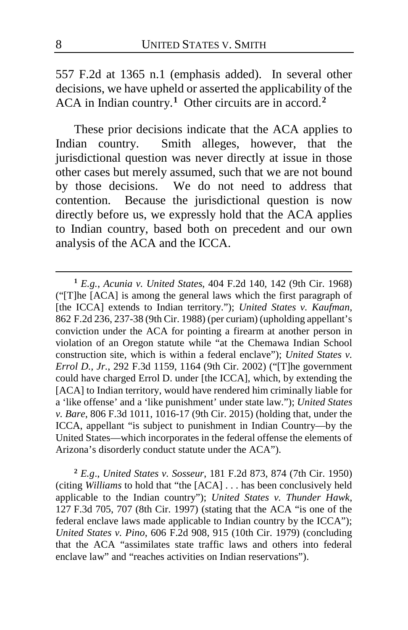557 F.2d at 1365 n.1 (emphasis added). In several other decisions, we have upheld or asserted the applicability of the ACA in Indian country.**[1](#page-7-0)** Other circuits are in accord.**[2](#page-7-1)**

These prior decisions indicate that the ACA applies to Indian country. Smith alleges, however, that the jurisdictional question was never directly at issue in those other cases but merely assumed, such that we are not bound by those decisions. We do not need to address that contention. Because the jurisdictional question is now directly before us, we expressly hold that the ACA applies to Indian country, based both on precedent and our own analysis of the ACA and the ICCA.

<span id="page-7-1"></span>**<sup>2</sup>** *E.g*., *United States v. Sosseur*, 181 F.2d 873, 874 (7th Cir. 1950) (citing *Williams* to hold that "the [ACA] . . . has been conclusively held applicable to the Indian country"); *United States v. Thunder Hawk*, 127 F.3d 705, 707 (8th Cir. 1997) (stating that the ACA "is one of the federal enclave laws made applicable to Indian country by the ICCA"); *United States v. Pino*, 606 F.2d 908, 915 (10th Cir. 1979) (concluding that the ACA "assimilates state traffic laws and others into federal enclave law" and "reaches activities on Indian reservations").

 $\overline{a}$ 

<span id="page-7-0"></span>**<sup>1</sup>** *E.g.*, *Acunia v. United States*, 404 F.2d 140, 142 (9th Cir. 1968) ("[T]he [ACA] is among the general laws which the first paragraph of [the ICCA] extends to Indian territory."); *United States v. Kaufman*, 862 F.2d 236, 237-38 (9th Cir. 1988) (per curiam) (upholding appellant's conviction under the ACA for pointing a firearm at another person in violation of an Oregon statute while "at the Chemawa Indian School construction site, which is within a federal enclave"); *United States v. Errol D., Jr.*, 292 F.3d 1159, 1164 (9th Cir. 2002) ("[T]he government could have charged Errol D. under [the ICCA], which, by extending the [ACA] to Indian territory, would have rendered him criminally liable for a 'like offense' and a 'like punishment' under state law."); *United States v. Bare*, 806 F.3d 1011, 1016-17 (9th Cir. 2015) (holding that, under the ICCA, appellant "is subject to punishment in Indian Country—by the United States—which incorporates in the federal offense the elements of Arizona's disorderly conduct statute under the ACA").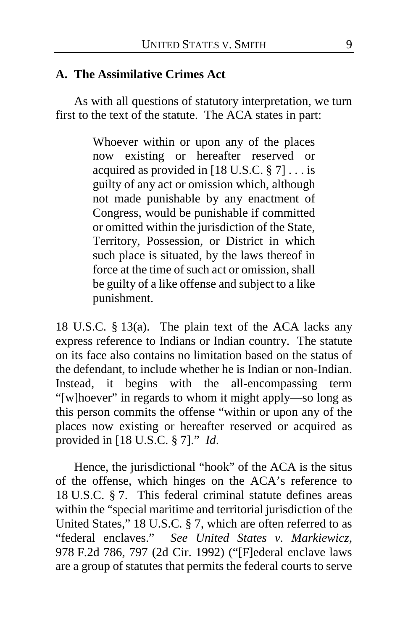## **A. The Assimilative Crimes Act**

As with all questions of statutory interpretation, we turn first to the text of the statute. The ACA states in part:

> Whoever within or upon any of the places now existing or hereafter reserved or acquired as provided in  $[18 \text{ U.S.C. } § 7] \ldots$  is guilty of any act or omission which, although not made punishable by any enactment of Congress, would be punishable if committed or omitted within the jurisdiction of the State, Territory, Possession, or District in which such place is situated, by the laws thereof in force at the time of such act or omission, shall be guilty of a like offense and subject to a like punishment.

18 U.S.C. § 13(a). The plain text of the ACA lacks any express reference to Indians or Indian country. The statute on its face also contains no limitation based on the status of the defendant, to include whether he is Indian or non-Indian. Instead, it begins with the all-encompassing term "[w]hoever" in regards to whom it might apply—so long as this person commits the offense "within or upon any of the places now existing or hereafter reserved or acquired as provided in [18 U.S.C. § 7]." *Id*.

Hence, the jurisdictional "hook" of the ACA is the situs of the offense, which hinges on the ACA's reference to 18 U.S.C. § 7. This federal criminal statute defines areas within the "special maritime and territorial jurisdiction of the United States," 18 U.S.C. § 7, which are often referred to as "federal enclaves." *See United States v. Markiewicz,*  978 F.2d 786, 797 (2d Cir. 1992) ("[F]ederal enclave laws are a group of statutes that permits the federal courts to serve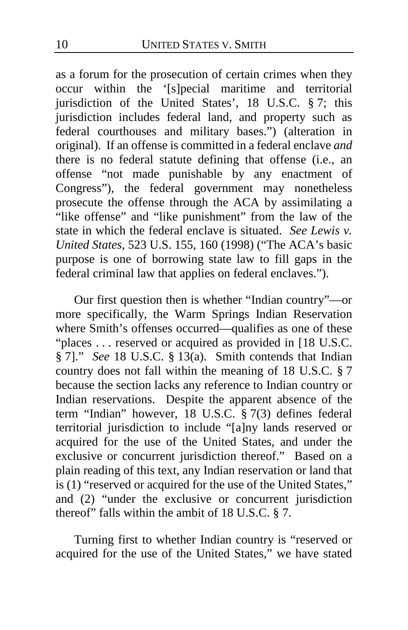as a forum for the prosecution of certain crimes when they occur within the '[s]pecial maritime and territorial jurisdiction of the United States', 18 U.S.C. § 7; this jurisdiction includes federal land, and property such as federal courthouses and military bases.") (alteration in original). If an offense is committed in a federal enclave *and* there is no federal statute defining that offense (i.e., an offense "not made punishable by any enactment of Congress"), the federal government may nonetheless prosecute the offense through the ACA by assimilating a "like offense" and "like punishment" from the law of the state in which the federal enclave is situated. *See Lewis v. United States*, 523 U.S. 155, 160 (1998) ("The ACA's basic purpose is one of borrowing state law to fill gaps in the federal criminal law that applies on federal enclaves.").

Our first question then is whether "Indian country"—or more specifically, the Warm Springs Indian Reservation where Smith's offenses occurred—qualifies as one of these "places . . . reserved or acquired as provided in [18 U.S.C. § 7]." *See* 18 U.S.C. § 13(a). Smith contends that Indian country does not fall within the meaning of 18 U.S.C. § 7 because the section lacks any reference to Indian country or Indian reservations. Despite the apparent absence of the term "Indian" however, 18 U.S.C. § 7(3) defines federal territorial jurisdiction to include "[a]ny lands reserved or acquired for the use of the United States, and under the exclusive or concurrent jurisdiction thereof." Based on a plain reading of this text, any Indian reservation or land that is (1) "reserved or acquired for the use of the United States," and (2) "under the exclusive or concurrent jurisdiction thereof" falls within the ambit of  $18$  U.S.C.  $\S$  7.

Turning first to whether Indian country is "reserved or acquired for the use of the United States," we have stated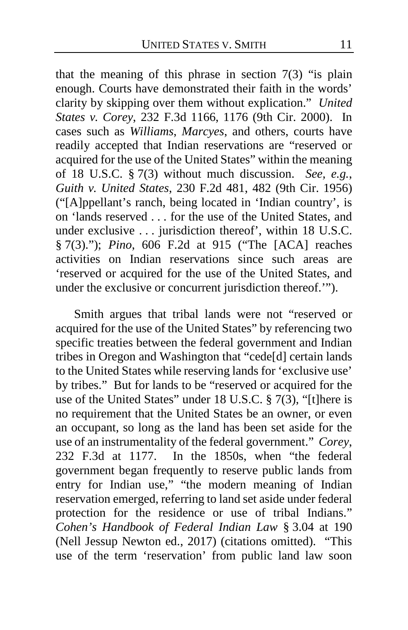that the meaning of this phrase in section  $7(3)$  "is plain enough. Courts have demonstrated their faith in the words' clarity by skipping over them without explication." *United States v. Corey*, 232 F.3d 1166, 1176 (9th Cir. 2000). In cases such as *Williams*, *Marcyes*, and others, courts have readily accepted that Indian reservations are "reserved or acquired for the use of the United States" within the meaning of 18 U.S.C. § 7(3) without much discussion. *See, e.g.*, *Guith v. United States*, 230 F.2d 481, 482 (9th Cir. 1956) ("[A]ppellant's ranch, being located in 'Indian country', is on 'lands reserved . . . for the use of the United States, and under exclusive . . . jurisdiction thereof', within 18 U.S.C. § 7(3)."); *Pino*, 606 F.2d at 915 ("The [ACA] reaches activities on Indian reservations since such areas are 'reserved or acquired for the use of the United States, and under the exclusive or concurrent jurisdiction thereof.'").

Smith argues that tribal lands were not "reserved or acquired for the use of the United States" by referencing two specific treaties between the federal government and Indian tribes in Oregon and Washington that "cede[d] certain lands to the United States while reserving lands for 'exclusive use' by tribes." But for lands to be "reserved or acquired for the use of the United States" under 18 U.S.C. § 7(3), "[t]here is no requirement that the United States be an owner, or even an occupant, so long as the land has been set aside for the use of an instrumentality of the federal government." *Corey*, 232 F.3d at 1177. In the 1850s, when "the federal government began frequently to reserve public lands from entry for Indian use," "the modern meaning of Indian reservation emerged, referring to land set aside under federal protection for the residence or use of tribal Indians." *Cohen's Handbook of Federal Indian Law* § 3.04 at 190 (Nell Jessup Newton ed., 2017) (citations omitted). "This use of the term 'reservation' from public land law soon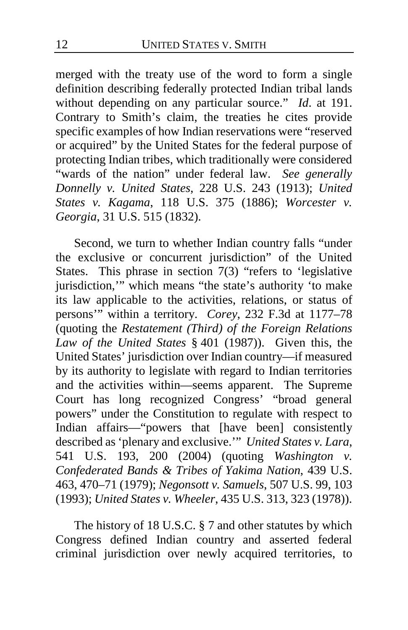merged with the treaty use of the word to form a single definition describing federally protected Indian tribal lands without depending on any particular source." *Id*. at 191. Contrary to Smith's claim, the treaties he cites provide specific examples of how Indian reservations were "reserved or acquired" by the United States for the federal purpose of protecting Indian tribes, which traditionally were considered "wards of the nation" under federal law. *See generally Donnelly v. United States*, 228 U.S. 243 (1913); *United States v. Kagama*, 118 U.S. 375 (1886); *Worcester v. Georgia*, 31 U.S. 515 (1832).

Second, we turn to whether Indian country falls "under the exclusive or concurrent jurisdiction" of the United States. This phrase in section 7(3) "refers to 'legislative jurisdiction,'" which means "the state's authority 'to make its law applicable to the activities, relations, or status of persons'" within a territory. *Corey*, 232 F.3d at 1177–78 (quoting the *Restatement (Third) of the Foreign Relations Law of the United States* § 401 (1987)). Given this, the United States' jurisdiction over Indian country—if measured by its authority to legislate with regard to Indian territories and the activities within—seems apparent. The Supreme Court has long recognized Congress' "broad general powers" under the Constitution to regulate with respect to Indian affairs—"powers that [have been] consistently described as 'plenary and exclusive.'" *United States v. Lara*, 541 U.S. 193, 200 (2004) (quoting *Washington v. Confederated Bands & Tribes of Yakima Nation*, 439 U.S. 463, 470–71 (1979); *Negonsott v. Samuels*, 507 U.S. 99, 103 (1993); *United States v. Wheeler*, 435 U.S. 313, 323 (1978)).

The history of 18 U.S.C. § 7 and other statutes by which Congress defined Indian country and asserted federal criminal jurisdiction over newly acquired territories, to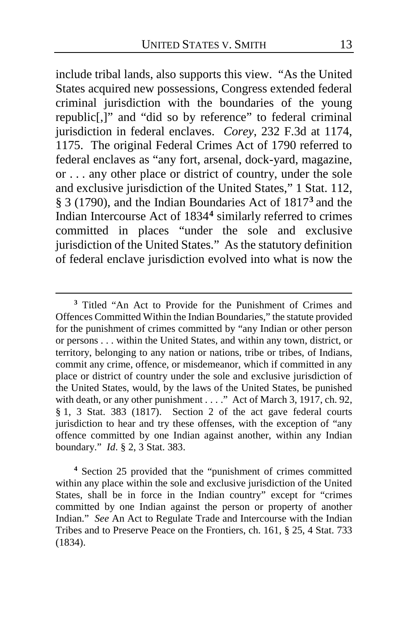include tribal lands, also supports this view. "As the United States acquired new possessions, Congress extended federal criminal jurisdiction with the boundaries of the young republic[,]" and "did so by reference" to federal criminal jurisdiction in federal enclaves. *Corey*, 232 F.3d at 1174, 1175. The original Federal Crimes Act of 1790 referred to federal enclaves as "any fort, arsenal, dock-yard, magazine, or . . . any other place or district of country, under the sole and exclusive jurisdiction of the United States," 1 Stat. 112, § 3 (1790), and the Indian Boundaries Act of 1817**[3](#page-12-0)** and the Indian Intercourse Act of 1834**[4](#page-12-1)** similarly referred to crimes committed in places "under the sole and exclusive jurisdiction of the United States." As the statutory definition of federal enclave jurisdiction evolved into what is now the

 $\overline{a}$ 

<span id="page-12-1"></span>**<sup>4</sup>** Section 25 provided that the "punishment of crimes committed within any place within the sole and exclusive jurisdiction of the United States, shall be in force in the Indian country" except for "crimes committed by one Indian against the person or property of another Indian." *See* An Act to Regulate Trade and Intercourse with the Indian Tribes and to Preserve Peace on the Frontiers, ch. 161, § 25, 4 Stat. 733 (1834).

<span id="page-12-0"></span>**<sup>3</sup>** Titled "An Act to Provide for the Punishment of Crimes and Offences Committed Within the Indian Boundaries," the statute provided for the punishment of crimes committed by "any Indian or other person or persons . . . within the United States, and within any town, district, or territory, belonging to any nation or nations, tribe or tribes, of Indians, commit any crime, offence, or misdemeanor, which if committed in any place or district of country under the sole and exclusive jurisdiction of the United States, would, by the laws of the United States, be punished with death, or any other punishment . . . ." Act of March 3, 1917, ch. 92, § 1, 3 Stat. 383 (1817). Section 2 of the act gave federal courts jurisdiction to hear and try these offenses, with the exception of "any offence committed by one Indian against another, within any Indian boundary." *Id*. § 2, 3 Stat. 383.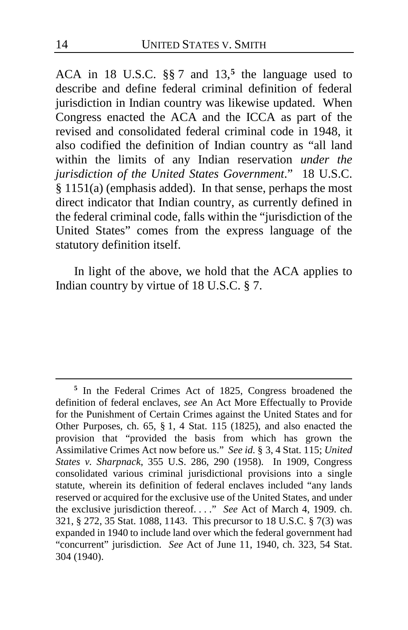ACA in 18 U.S.C. §§ 7 and 13,**[5](#page-13-0)** the language used to describe and define federal criminal definition of federal jurisdiction in Indian country was likewise updated. When Congress enacted the ACA and the ICCA as part of the revised and consolidated federal criminal code in 1948, it also codified the definition of Indian country as "all land within the limits of any Indian reservation *under the jurisdiction of the United States Government*." 18 U.S.C. § 1151(a) (emphasis added). In that sense, perhaps the most direct indicator that Indian country, as currently defined in the federal criminal code, falls within the "jurisdiction of the United States" comes from the express language of the statutory definition itself.

In light of the above, we hold that the ACA applies to Indian country by virtue of 18 U.S.C. § 7.

 $\overline{a}$ 

<span id="page-13-0"></span>**<sup>5</sup>** In the Federal Crimes Act of 1825, Congress broadened the definition of federal enclaves, *see* An Act More Effectually to Provide for the Punishment of Certain Crimes against the United States and for Other Purposes, ch. 65, § 1, 4 Stat. 115 (1825), and also enacted the provision that "provided the basis from which has grown the Assimilative Crimes Act now before us." *See id.* § 3, 4 Stat. 115; *United States v. Sharpnack*, 355 U.S. 286, 290 (1958). In 1909, Congress consolidated various criminal jurisdictional provisions into a single statute, wherein its definition of federal enclaves included "any lands reserved or acquired for the exclusive use of the United States, and under the exclusive jurisdiction thereof. . . ." *See* Act of March 4, 1909. ch. 321, § 272, 35 Stat. 1088, 1143. This precursor to 18 U.S.C. § 7(3) was expanded in 1940 to include land over which the federal government had "concurrent" jurisdiction. *See* Act of June 11, 1940, ch. 323, 54 Stat. 304 (1940).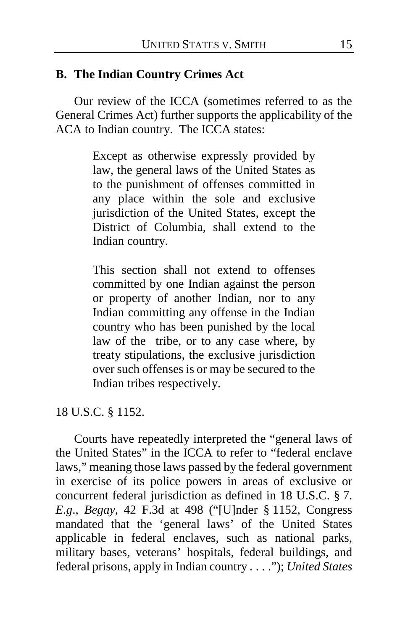# **B. The Indian Country Crimes Act**

Our review of the ICCA (sometimes referred to as the General Crimes Act) further supports the applicability of the ACA to Indian country. The ICCA states:

> Except as otherwise expressly provided by law, the general laws of the United States as to the punishment of offenses committed in any place within the sole and exclusive jurisdiction of the United States, except the District of Columbia, shall extend to the Indian country.

> This section shall not extend to offenses committed by one Indian against the person or property of another Indian, nor to any Indian committing any offense in the Indian country who has been punished by the local law of the tribe, or to any case where, by treaty stipulations, the exclusive jurisdiction over such offenses is or may be secured to the Indian tribes respectively.

18 U.S.C. § 1152.

Courts have repeatedly interpreted the "general laws of the United States" in the ICCA to refer to "federal enclave laws," meaning those laws passed by the federal government in exercise of its police powers in areas of exclusive or concurrent federal jurisdiction as defined in 18 U.S.C. § 7. *E.g*., *Begay*, 42 F.3d at 498 ("[U]nder § 1152, Congress mandated that the 'general laws' of the United States applicable in federal enclaves, such as national parks, military bases, veterans' hospitals, federal buildings, and federal prisons, apply in Indian country . . . ."); *United States*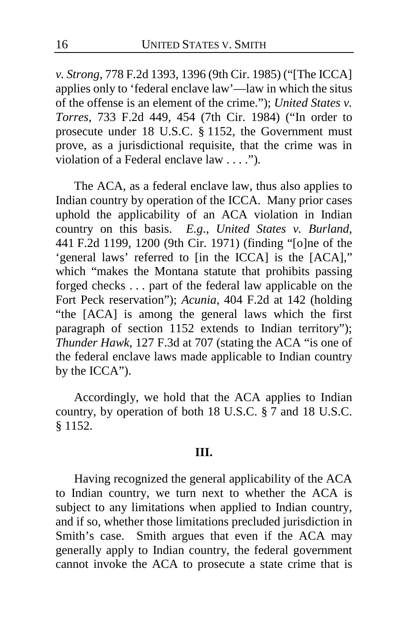*v. Strong*, 778 F.2d 1393, 1396 (9th Cir. 1985) ("[The ICCA] applies only to 'federal enclave law'—law in which the situs of the offense is an element of the crime."); *United States v. Torres*, 733 F.2d 449, 454 (7th Cir. 1984) ("In order to prosecute under 18 U.S.C. § 1152, the Government must prove, as a jurisdictional requisite, that the crime was in violation of a Federal enclave law . . . .").

The ACA, as a federal enclave law, thus also applies to Indian country by operation of the ICCA. Many prior cases uphold the applicability of an ACA violation in Indian country on this basis. *E.g*., *United States v. Burland*, 441 F.2d 1199, 1200 (9th Cir. 1971) (finding "[o]ne of the 'general laws' referred to [in the ICCA] is the [ACA]," which "makes the Montana statute that prohibits passing forged checks . . . part of the federal law applicable on the Fort Peck reservation"); *Acunia*, 404 F.2d at 142 (holding "the [ACA] is among the general laws which the first paragraph of section 1152 extends to Indian territory"); *Thunder Hawk*, 127 F.3d at 707 (stating the ACA "is one of the federal enclave laws made applicable to Indian country by the ICCA").

Accordingly, we hold that the ACA applies to Indian country, by operation of both 18 U.S.C. § 7 and 18 U.S.C. § 1152.

#### **III.**

Having recognized the general applicability of the ACA to Indian country, we turn next to whether the ACA is subject to any limitations when applied to Indian country, and if so, whether those limitations precluded jurisdiction in Smith's case. Smith argues that even if the ACA may generally apply to Indian country, the federal government cannot invoke the ACA to prosecute a state crime that is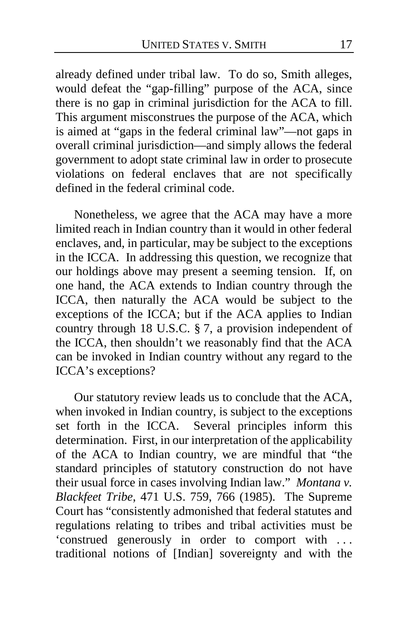already defined under tribal law. To do so, Smith alleges, would defeat the "gap-filling" purpose of the ACA, since there is no gap in criminal jurisdiction for the ACA to fill. This argument misconstrues the purpose of the ACA, which is aimed at "gaps in the federal criminal law"—not gaps in overall criminal jurisdiction—and simply allows the federal government to adopt state criminal law in order to prosecute violations on federal enclaves that are not specifically defined in the federal criminal code.

Nonetheless, we agree that the ACA may have a more limited reach in Indian country than it would in other federal enclaves, and, in particular, may be subject to the exceptions in the ICCA. In addressing this question, we recognize that our holdings above may present a seeming tension. If, on one hand, the ACA extends to Indian country through the ICCA, then naturally the ACA would be subject to the exceptions of the ICCA; but if the ACA applies to Indian country through 18 U.S.C. § 7, a provision independent of the ICCA, then shouldn't we reasonably find that the ACA can be invoked in Indian country without any regard to the ICCA's exceptions?

Our statutory review leads us to conclude that the ACA, when invoked in Indian country, is subject to the exceptions set forth in the ICCA. Several principles inform this determination. First, in our interpretation of the applicability of the ACA to Indian country, we are mindful that "the standard principles of statutory construction do not have their usual force in cases involving Indian law." *Montana v. Blackfeet Tribe*, 471 U.S. 759, 766 (1985). The Supreme Court has "consistently admonished that federal statutes and regulations relating to tribes and tribal activities must be 'construed generously in order to comport with . . . traditional notions of [Indian] sovereignty and with the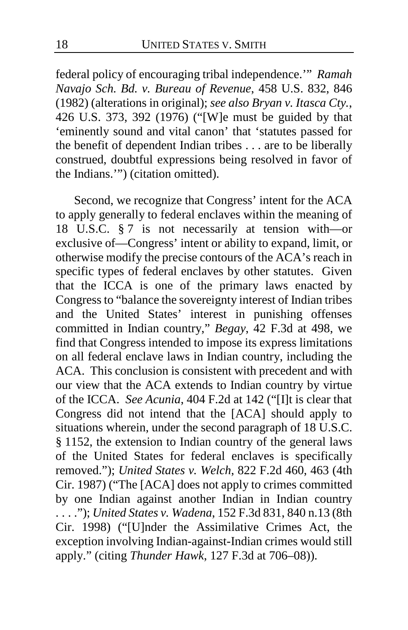federal policy of encouraging tribal independence.'" *Ramah Navajo Sch. Bd. v. Bureau of Revenue*, 458 U.S. 832, 846 (1982) (alterations in original); *see also Bryan v. Itasca Cty.*, 426 U.S. 373, 392 (1976) ("[W]e must be guided by that 'eminently sound and vital canon' that 'statutes passed for the benefit of dependent Indian tribes . . . are to be liberally construed, doubtful expressions being resolved in favor of the Indians.'") (citation omitted).

Second, we recognize that Congress' intent for the ACA to apply generally to federal enclaves within the meaning of 18 U.S.C. § 7 is not necessarily at tension with—or exclusive of—Congress' intent or ability to expand, limit, or otherwise modify the precise contours of the ACA's reach in specific types of federal enclaves by other statutes. Given that the ICCA is one of the primary laws enacted by Congress to "balance the sovereignty interest of Indian tribes and the United States' interest in punishing offenses committed in Indian country," *Begay*, 42 F.3d at 498, we find that Congress intended to impose its express limitations on all federal enclave laws in Indian country, including the ACA. This conclusion is consistent with precedent and with our view that the ACA extends to Indian country by virtue of the ICCA. *See Acunia*, 404 F.2d at 142 ("[I]t is clear that Congress did not intend that the [ACA] should apply to situations wherein, under the second paragraph of 18 U.S.C. § 1152, the extension to Indian country of the general laws of the United States for federal enclaves is specifically removed."); *United States v. Welch*, 822 F.2d 460, 463 (4th Cir. 1987) ("The [ACA] does not apply to crimes committed by one Indian against another Indian in Indian country . . . ."); *United States v. Wadena*, 152 F.3d 831, 840 n.13 (8th Cir. 1998) ("[U]nder the Assimilative Crimes Act, the exception involving Indian-against-Indian crimes would still apply." (citing *Thunder Hawk*, 127 F.3d at 706–08)).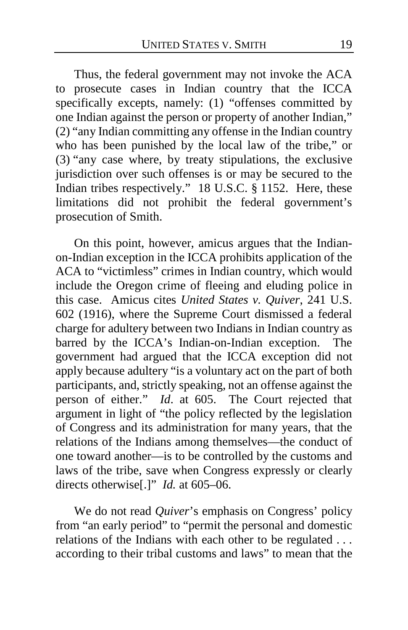Thus, the federal government may not invoke the ACA to prosecute cases in Indian country that the ICCA specifically excepts, namely: (1) "offenses committed by one Indian against the person or property of another Indian," (2) "any Indian committing any offense in the Indian country who has been punished by the local law of the tribe," or (3) "any case where, by treaty stipulations, the exclusive jurisdiction over such offenses is or may be secured to the Indian tribes respectively." 18 U.S.C. § 1152. Here, these limitations did not prohibit the federal government's prosecution of Smith.

On this point, however, amicus argues that the Indianon-Indian exception in the ICCA prohibits application of the ACA to "victimless" crimes in Indian country, which would include the Oregon crime of fleeing and eluding police in this case. Amicus cites *United States v. Quiver*, 241 U.S. 602 (1916), where the Supreme Court dismissed a federal charge for adultery between two Indians in Indian country as barred by the ICCA's Indian-on-Indian exception. The government had argued that the ICCA exception did not apply because adultery "is a voluntary act on the part of both participants, and, strictly speaking, not an offense against the person of either." *Id*. at 605. The Court rejected that argument in light of "the policy reflected by the legislation of Congress and its administration for many years, that the relations of the Indians among themselves—the conduct of one toward another—is to be controlled by the customs and laws of the tribe, save when Congress expressly or clearly directs otherwise[.]" *Id.* at 605–06.

We do not read *Quiver*'s emphasis on Congress' policy from "an early period" to "permit the personal and domestic relations of the Indians with each other to be regulated . . . according to their tribal customs and laws" to mean that the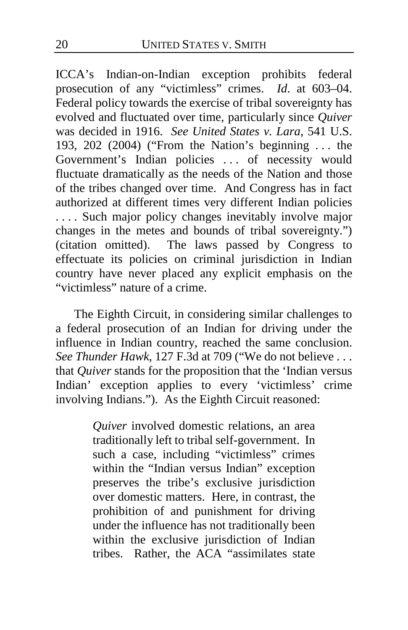ICCA's Indian-on-Indian exception prohibits federal prosecution of any "victimless" crimes. *Id*. at 603–04. Federal policy towards the exercise of tribal sovereignty has evolved and fluctuated over time, particularly since *Quiver*  was decided in 1916. *See United States v. Lara*, 541 U.S. 193, 202 (2004) ("From the Nation's beginning . . . the Government's Indian policies . . . of necessity would fluctuate dramatically as the needs of the Nation and those of the tribes changed over time. And Congress has in fact authorized at different times very different Indian policies . . . . Such major policy changes inevitably involve major changes in the metes and bounds of tribal sovereignty.") (citation omitted). The laws passed by Congress to effectuate its policies on criminal jurisdiction in Indian country have never placed any explicit emphasis on the "victimless" nature of a crime.

The Eighth Circuit, in considering similar challenges to a federal prosecution of an Indian for driving under the influence in Indian country, reached the same conclusion. *See Thunder Hawk*, 127 F.3d at 709 ("We do not believe . . . that *Quiver* stands for the proposition that the 'Indian versus Indian' exception applies to every 'victimless' crime involving Indians."). As the Eighth Circuit reasoned:

> *Quiver* involved domestic relations, an area traditionally left to tribal self-government. In such a case, including "victimless" crimes within the "Indian versus Indian" exception preserves the tribe's exclusive jurisdiction over domestic matters. Here, in contrast, the prohibition of and punishment for driving under the influence has not traditionally been within the exclusive jurisdiction of Indian tribes. Rather, the ACA "assimilates state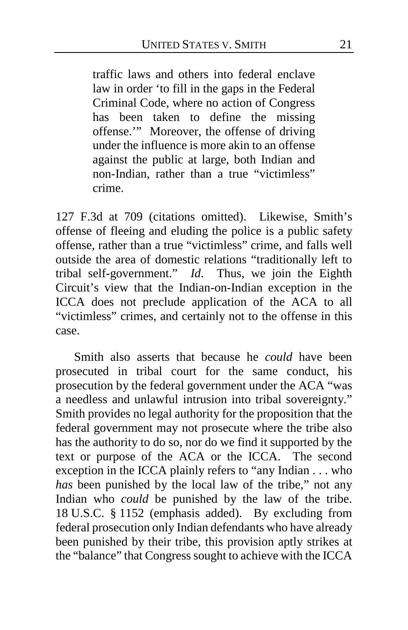traffic laws and others into federal enclave law in order 'to fill in the gaps in the Federal Criminal Code, where no action of Congress has been taken to define the missing offense.'" Moreover, the offense of driving under the influence is more akin to an offense against the public at large, both Indian and non-Indian, rather than a true "victimless" crime.

127 F.3d at 709 (citations omitted). Likewise, Smith's offense of fleeing and eluding the police is a public safety offense, rather than a true "victimless" crime, and falls well outside the area of domestic relations "traditionally left to tribal self-government." *Id*. Thus, we join the Eighth Circuit's view that the Indian-on-Indian exception in the ICCA does not preclude application of the ACA to all "victimless" crimes, and certainly not to the offense in this case.

Smith also asserts that because he *could* have been prosecuted in tribal court for the same conduct, his prosecution by the federal government under the ACA "was a needless and unlawful intrusion into tribal sovereignty." Smith provides no legal authority for the proposition that the federal government may not prosecute where the tribe also has the authority to do so, nor do we find it supported by the text or purpose of the ACA or the ICCA. The second exception in the ICCA plainly refers to "any Indian . . . who *has* been punished by the local law of the tribe," not any Indian who *could* be punished by the law of the tribe. 18 U.S.C. § 1152 (emphasis added). By excluding from federal prosecution only Indian defendants who have already been punished by their tribe, this provision aptly strikes at the "balance" that Congress sought to achieve with the ICCA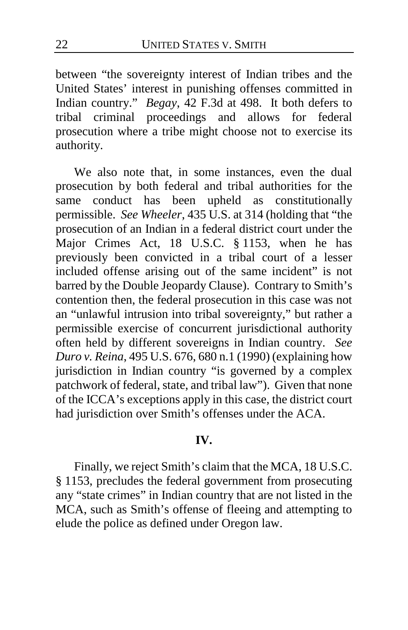between "the sovereignty interest of Indian tribes and the United States' interest in punishing offenses committed in Indian country." *Begay*, 42 F.3d at 498. It both defers to tribal criminal proceedings and allows for federal prosecution where a tribe might choose not to exercise its authority.

We also note that, in some instances, even the dual prosecution by both federal and tribal authorities for the same conduct has been upheld as constitutionally upheld as constitutionally permissible. *See Wheeler*, 435 U.S. at 314 (holding that "the prosecution of an Indian in a federal district court under the Major Crimes Act, 18 U.S.C. § 1153, when he has previously been convicted in a tribal court of a lesser included offense arising out of the same incident" is not barred by the Double Jeopardy Clause). Contrary to Smith's contention then, the federal prosecution in this case was not an "unlawful intrusion into tribal sovereignty," but rather a permissible exercise of concurrent jurisdictional authority often held by different sovereigns in Indian country. *See Duro v. Reina*, 495 U.S. 676, 680 n.1 (1990) (explaining how jurisdiction in Indian country "is governed by a complex patchwork of federal, state, and tribal law"). Given that none of the ICCA's exceptions apply in this case, the district court had jurisdiction over Smith's offenses under the ACA.

## **IV.**

Finally, we reject Smith's claim that the MCA, 18 U.S.C. § 1153, precludes the federal government from prosecuting any "state crimes" in Indian country that are not listed in the MCA, such as Smith's offense of fleeing and attempting to elude the police as defined under Oregon law.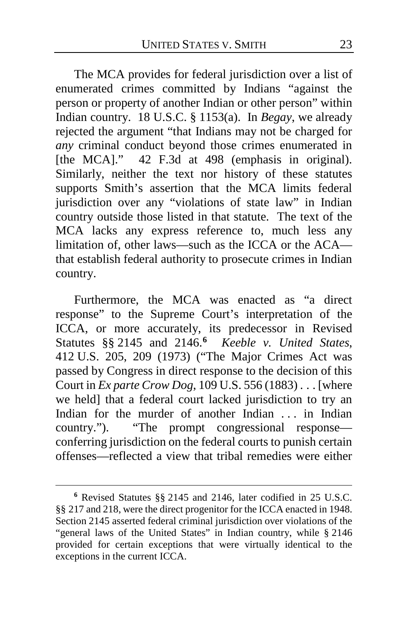The MCA provides for federal jurisdiction over a list of enumerated crimes committed by Indians "against the person or property of another Indian or other person" within Indian country. 18 U.S.C. § 1153(a). In *Begay*, we already rejected the argument "that Indians may not be charged for *any* criminal conduct beyond those crimes enumerated in [the MCA]." 42 F.3d at 498 (emphasis in original). Similarly, neither the text nor history of these statutes supports Smith's assertion that the MCA limits federal jurisdiction over any "violations of state law" in Indian country outside those listed in that statute. The text of the MCA lacks any express reference to, much less any limitation of, other laws—such as the ICCA or the ACA that establish federal authority to prosecute crimes in Indian country.

Furthermore, the MCA was enacted as "a direct response" to the Supreme Court's interpretation of the ICCA, or more accurately, its predecessor in Revised Statutes §§ 2145 and 2146.**[6](#page-22-0)** *Keeble v. United States*, 412 U.S. 205, 209 (1973) ("The Major Crimes Act was passed by Congress in direct response to the decision of this Court in *Ex parte Crow Dog*, 109 U.S. 556 (1883) . . . [where we held] that a federal court lacked jurisdiction to try an Indian for the murder of another Indian ... in Indian country."). "The prompt congressional response conferring jurisdiction on the federal courts to punish certain offenses—reflected a view that tribal remedies were either

 $\overline{a}$ 

<span id="page-22-0"></span>**<sup>6</sup>** Revised Statutes §§ 2145 and 2146, later codified in 25 U.S.C. §§ 217 and 218, were the direct progenitor for the ICCA enacted in 1948. Section 2145 asserted federal criminal jurisdiction over violations of the "general laws of the United States" in Indian country, while § 2146 provided for certain exceptions that were virtually identical to the exceptions in the current ICCA.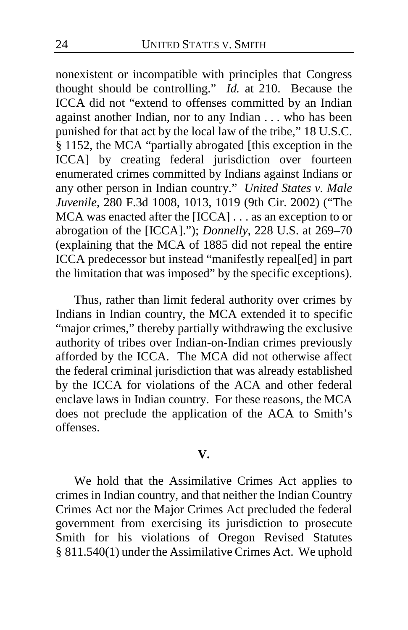nonexistent or incompatible with principles that Congress thought should be controlling." *Id.* at 210. Because the ICCA did not "extend to offenses committed by an Indian against another Indian, nor to any Indian . . . who has been punished for that act by the local law of the tribe," 18 U.S.C. § 1152, the MCA "partially abrogated [this exception in the ICCA] by creating federal jurisdiction over fourteen enumerated crimes committed by Indians against Indians or any other person in Indian country." *United States v. Male Juvenile*, 280 F.3d 1008, 1013, 1019 (9th Cir. 2002) ("The MCA was enacted after the [ICCA] . . . as an exception to or abrogation of the [ICCA]."); *Donnelly*, 228 U.S. at 269–70 (explaining that the MCA of 1885 did not repeal the entire ICCA predecessor but instead "manifestly repeal[ed] in part the limitation that was imposed" by the specific exceptions).

Thus, rather than limit federal authority over crimes by Indians in Indian country, the MCA extended it to specific "major crimes," thereby partially withdrawing the exclusive authority of tribes over Indian-on-Indian crimes previously afforded by the ICCA. The MCA did not otherwise affect the federal criminal jurisdiction that was already established by the ICCA for violations of the ACA and other federal enclave laws in Indian country. For these reasons, the MCA does not preclude the application of the ACA to Smith's offenses.

#### **V.**

We hold that the Assimilative Crimes Act applies to crimes in Indian country, and that neither the Indian Country Crimes Act nor the Major Crimes Act precluded the federal government from exercising its jurisdiction to prosecute Smith for his violations of Oregon Revised Statutes § 811.540(1) under the Assimilative Crimes Act. We uphold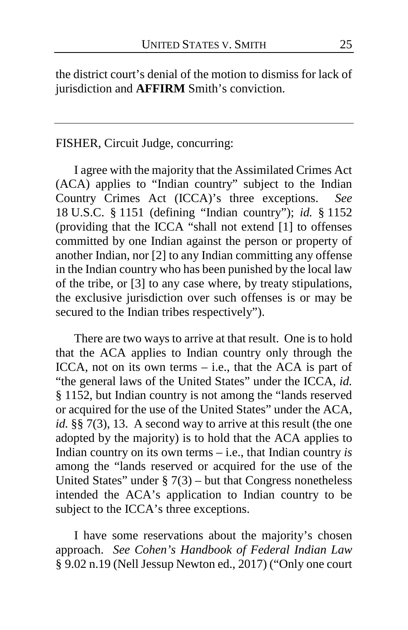the district court's denial of the motion to dismiss for lack of jurisdiction and **AFFIRM** Smith's conviction.

# FISHER, Circuit Judge, concurring:

I agree with the majority that the Assimilated Crimes Act (ACA) applies to "Indian country" subject to the Indian Country Crimes Act (ICCA)'s three exceptions. *See*  18 U.S.C. § 1151 (defining "Indian country"); *id.* § 1152 (providing that the ICCA "shall not extend [1] to offenses committed by one Indian against the person or property of another Indian, nor [2] to any Indian committing any offense in the Indian country who has been punished by the local law of the tribe, or [3] to any case where, by treaty stipulations, the exclusive jurisdiction over such offenses is or may be secured to the Indian tribes respectively").

There are two ways to arrive at that result. One is to hold that the ACA applies to Indian country only through the ICCA, not on its own terms  $-$  i.e., that the ACA is part of "the general laws of the United States" under the ICCA, *id.* § 1152, but Indian country is not among the "lands reserved or acquired for the use of the United States" under the ACA, *id.* §§ 7(3), 13. A second way to arrive at this result (the one adopted by the majority) is to hold that the ACA applies to Indian country on its own terms – i.e., that Indian country *is*  among the "lands reserved or acquired for the use of the United States" under  $\S 7(3)$  – but that Congress nonetheless intended the ACA's application to Indian country to be subject to the ICCA's three exceptions.

I have some reservations about the majority's chosen approach. *See Cohen's Handbook of Federal Indian Law* § 9.02 n.19 (Nell Jessup Newton ed., 2017) ("Only one court